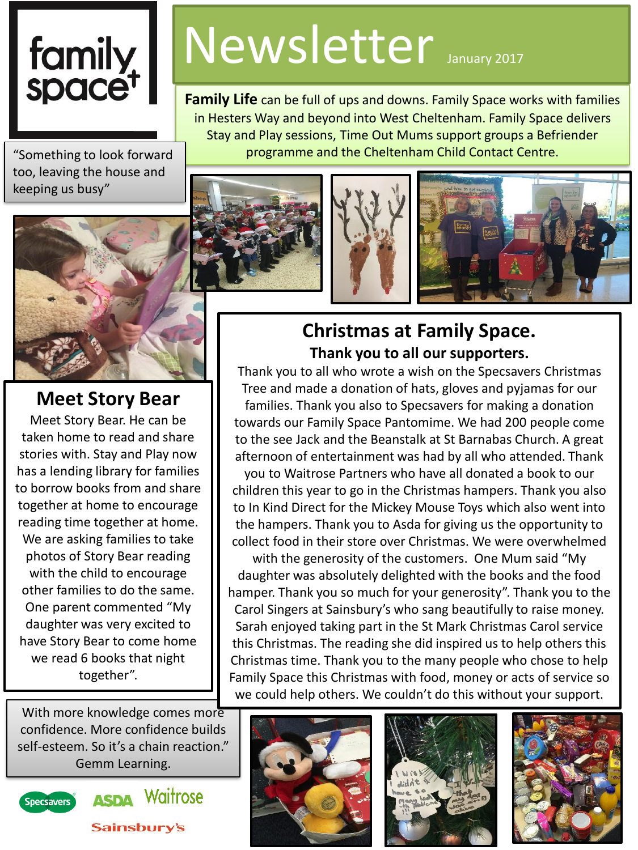# family<br>space<sup>t</sup>

Newsletter January 2017

**Family Life** can be full of ups and downs. Family Space works with families in Hesters Way and beyond into West Cheltenham. Family Space delivers Stay and Play sessions, Time Out Mums support groups a Befriender programme and the Cheltenham Child Contact Centre.

"Something to look forward too, leaving the house and keeping us busy"



#### **Meet Story Bear**

Meet Story Bear. He can be taken home to read and share stories with. Stay and Play now has a lending library for families to borrow books from and share together at home to encourage reading time together at home. We are asking families to take photos of Story Bear reading with the child to encourage other families to do the same. One parent commented "My daughter was very excited to have Story Bear to come home we read 6 books that night together".

With more knowledge comes more confidence. More confidence builds self-esteem. So it's a chain reaction." Gemm Learning.



**ASDA** Waitrose





#### **Christmas at Family Space. Thank you to all our supporters.**

Thank you to all who wrote a wish on the Specsavers Christmas Tree and made a donation of hats, gloves and pyjamas for our families. Thank you also to Specsavers for making a donation towards our Family Space Pantomime. We had 200 people come to the see Jack and the Beanstalk at St Barnabas Church. A great afternoon of entertainment was had by all who attended. Thank

you to Waitrose Partners who have all donated a book to our children this year to go in the Christmas hampers. Thank you also to In Kind Direct for the Mickey Mouse Toys which also went into the hampers. Thank you to Asda for giving us the opportunity to collect food in their store over Christmas. We were overwhelmed

with the generosity of the customers. One Mum said "My daughter was absolutely delighted with the books and the food hamper. Thank you so much for your generosity". Thank you to the Carol Singers at Sainsbury's who sang beautifully to raise money. Sarah enjoyed taking part in the St Mark Christmas Carol service this Christmas. The reading she did inspired us to help others this Christmas time. Thank you to the many people who chose to help Family Space this Christmas with food, money or acts of service so we could help others. We couldn't do this without your support.